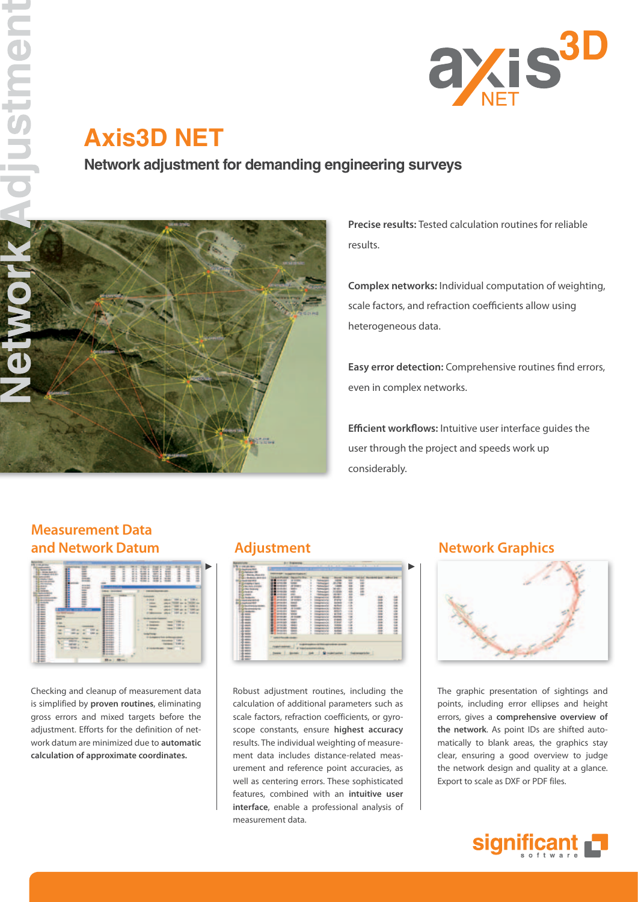

# **Axis3D NET**

**Network adjustment for demanding engineering surveys**



**Precise results:** Tested calculation routines for reliable results.

**Complex networks:** Individual computation of weighting, scale factors, and refraction coefficients allow using heterogeneous data.

**Easy error detection:** Comprehensive routines find errors, even in complex networks.

**Efficient workflows:** Intuitive user interface guides the user through the project and speeds work up considerably.

## **Measurement Data and Network Datum Adjustment Adjustment Network Graphics**



Checking and cleanup of measurement data is simplified by **proven routines**, eliminating gross errors and mixed targets before the adjustment. Efforts for the definition of network datum are minimized due to **automatic calculation of approximate coordinates.** 



Robust adjustment routines, including the calculation of additional parameters such as scale factors, refraction coefficients, or gyroscope constants, ensure **highest accuracy**  results. The individual weighting of measurement data includes distance-related measurement and reference point accuracies, as well as centering errors. These sophisticated features, combined with an **intuitive user interface**, enable a professional analysis of measurement data.



The graphic presentation of sightings and points, including error ellipses and height errors, gives a **comprehensive overview of the network**. As point IDs are shifted automatically to blank areas, the graphics stay clear, ensuring a good overview to judge the network design and quality at a glance. Export to scale as DXF or PDF files.